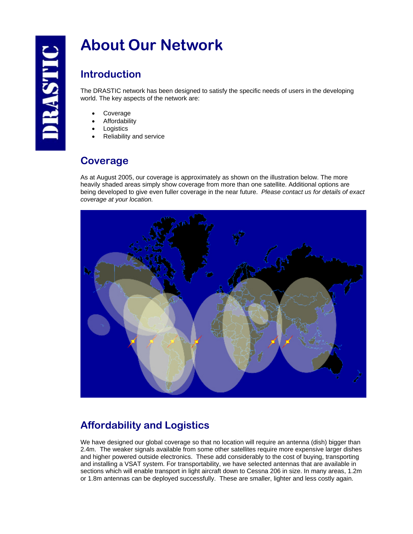# **About Our Network**

#### **Introduction**

The DRASTIC network has been designed to satisfy the specific needs of users in the developing world. The key aspects of the network are:

- **Coverage**
- **Affordability**
- **Logistics**
- Reliability and service

#### **Coverage**

As at August 2005, our coverage is approximately as shown on the illustration below. The more heavily shaded areas simply show coverage from more than one satellite. Additional options are being developed to give even fuller coverage in the near future. *Please contact us for details of exact coverage at your location.* 



## **Affordability and Logistics**

We have designed our global coverage so that no location will require an antenna (dish) bigger than 2.4m. The weaker signals available from some other satellites require more expensive larger dishes and higher powered outside electronics. These add considerably to the cost of buying, transporting and installing a VSAT system. For transportability, we have selected antennas that are available in sections which will enable transport in light aircraft down to Cessna 206 in size. In many areas, 1.2m or 1.8m antennas can be deployed successfully. These are smaller, lighter and less costly again.